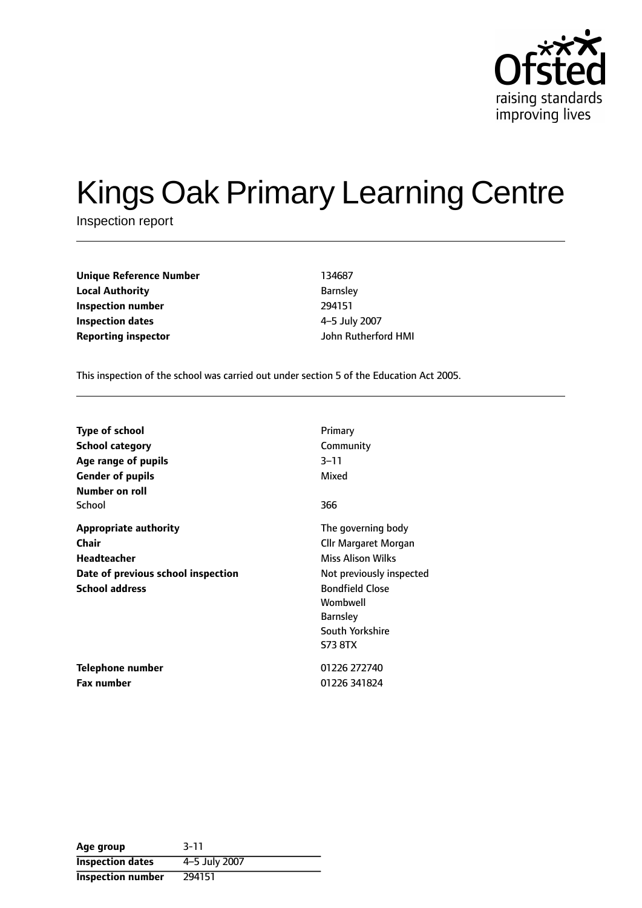

# Kings Oak Primary Learning Centre

Inspection report

| <b>Unique Reference Number</b> | 134687         |
|--------------------------------|----------------|
| <b>Local Authority</b>         | <b>Barnsle</b> |
| Inspection number              | 294151         |
| Inspection dates               | 4-5 Jul        |
| <b>Renorting inspector</b>     | John Ri        |

**Barnsley Inspection number** 294151 **Inspection dates** 45 July 2007 **Reporting inspector** John Rutherford HMI

This inspection of the school was carried out under section 5 of the Education Act 2005.

| <b>Type of school</b>              | Primary                  |
|------------------------------------|--------------------------|
| <b>School category</b>             | Community                |
| Age range of pupils                | $3 - 11$                 |
| <b>Gender of pupils</b>            | Mixed                    |
| Number on roll                     |                          |
| School                             | 366                      |
| <b>Appropriate authority</b>       | The governing body       |
| <b>Chair</b>                       | Cllr Margaret Morgan     |
| <b>Headteacher</b>                 | Miss Alison Wilks        |
| Date of previous school inspection | Not previously inspected |
| <b>School address</b>              | <b>Bondfield Close</b>   |
|                                    | Wombwell                 |
|                                    | <b>Barnsley</b>          |
|                                    | South Yorkshire          |
|                                    | <b>S73 8TX</b>           |
| Telephone number                   | 01226 272740             |
| Fax number                         | 01226 341824             |

| Age group                | $3 - 11$      |
|--------------------------|---------------|
| <b>Inspection dates</b>  | 4-5 July 2007 |
| <b>Inspection number</b> | 294151        |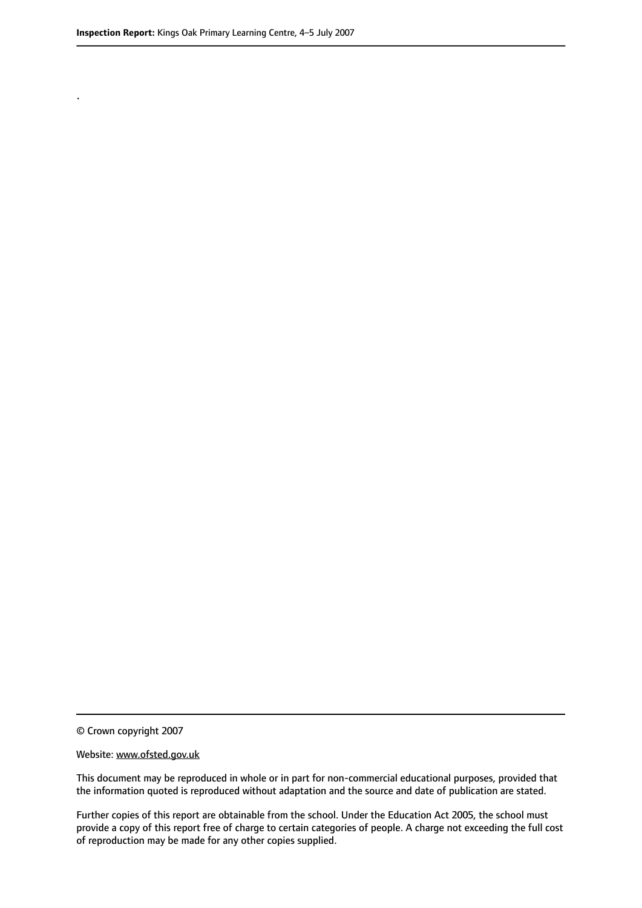.

© Crown copyright 2007

#### Website: www.ofsted.gov.uk

This document may be reproduced in whole or in part for non-commercial educational purposes, provided that the information quoted is reproduced without adaptation and the source and date of publication are stated.

Further copies of this report are obtainable from the school. Under the Education Act 2005, the school must provide a copy of this report free of charge to certain categories of people. A charge not exceeding the full cost of reproduction may be made for any other copies supplied.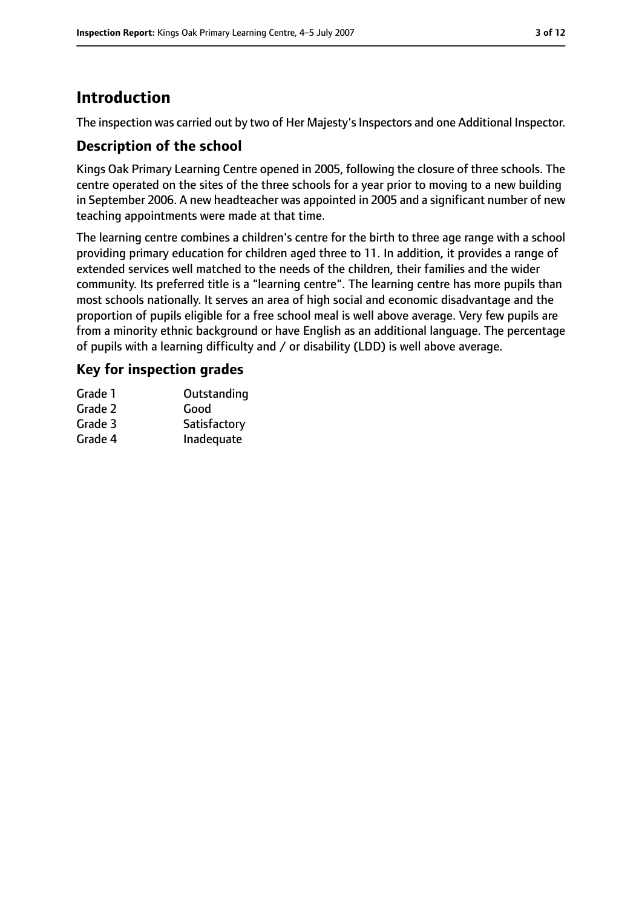# **Introduction**

The inspection was carried out by two of Her Majesty's Inspectors and one Additional Inspector.

## **Description of the school**

Kings Oak Primary Learning Centre opened in 2005, following the closure of three schools. The centre operated on the sites of the three schools for a year prior to moving to a new building in September 2006. A new headteacher was appointed in 2005 and a significant number of new teaching appointments were made at that time.

The learning centre combines a children's centre for the birth to three age range with a school providing primary education for children aged three to 11. In addition, it provides a range of extended services well matched to the needs of the children, their families and the wider community. Its preferred title is a "learning centre". The learning centre has more pupils than most schools nationally. It serves an area of high social and economic disadvantage and the proportion of pupils eligible for a free school meal is well above average. Very few pupils are from a minority ethnic background or have English as an additional language. The percentage of pupils with a learning difficulty and / or disability (LDD) is well above average.

# **Key for inspection grades**

| Grade 1 | Outstanding  |
|---------|--------------|
| Grade 2 | Good         |
| Grade 3 | Satisfactory |
| Grade 4 | Inadequate   |
|         |              |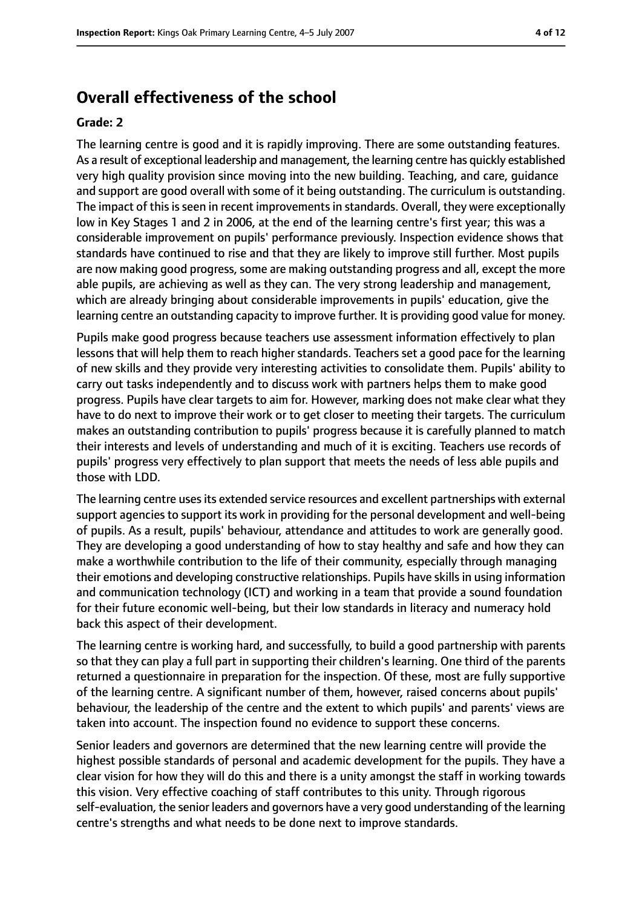# **Overall effectiveness of the school**

#### **Grade: 2**

The learning centre is good and it is rapidly improving. There are some outstanding features. As a result of exceptional leadership and management, the learning centre has quickly established very high quality provision since moving into the new building. Teaching, and care, guidance and support are good overall with some of it being outstanding. The curriculum is outstanding. The impact of this is seen in recent improvements in standards. Overall, they were exceptionally low in Key Stages 1 and 2 in 2006, at the end of the learning centre's first year; this was a considerable improvement on pupils' performance previously. Inspection evidence shows that standards have continued to rise and that they are likely to improve still further. Most pupils are now making good progress, some are making outstanding progress and all, except the more able pupils, are achieving as well as they can. The very strong leadership and management, which are already bringing about considerable improvements in pupils' education, give the learning centre an outstanding capacity to improve further. It is providing good value for money.

Pupils make good progress because teachers use assessment information effectively to plan lessons that will help them to reach higher standards. Teachers set a good pace for the learning of new skills and they provide very interesting activities to consolidate them. Pupils' ability to carry out tasks independently and to discuss work with partners helps them to make good progress. Pupils have clear targets to aim for. However, marking does not make clear what they have to do next to improve their work or to get closer to meeting their targets. The curriculum makes an outstanding contribution to pupils' progress because it is carefully planned to match their interests and levels of understanding and much of it is exciting. Teachers use records of pupils' progress very effectively to plan support that meets the needs of less able pupils and those with LDD.

The learning centre usesits extended service resources and excellent partnerships with external support agencies to support its work in providing for the personal development and well-being of pupils. As a result, pupils' behaviour, attendance and attitudes to work are generally good. They are developing a good understanding of how to stay healthy and safe and how they can make a worthwhile contribution to the life of their community, especially through managing their emotions and developing constructive relationships. Pupils have skills in using information and communication technology (ICT) and working in a team that provide a sound foundation for their future economic well-being, but their low standards in literacy and numeracy hold back this aspect of their development.

The learning centre is working hard, and successfully, to build a good partnership with parents so that they can play a full part in supporting their children's learning. One third of the parents returned a questionnaire in preparation for the inspection. Of these, most are fully supportive of the learning centre. A significant number of them, however, raised concerns about pupils' behaviour, the leadership of the centre and the extent to which pupils' and parents' views are taken into account. The inspection found no evidence to support these concerns.

Senior leaders and governors are determined that the new learning centre will provide the highest possible standards of personal and academic development for the pupils. They have a clear vision for how they will do this and there is a unity amongst the staff in working towards this vision. Very effective coaching of staff contributes to this unity. Through rigorous self-evaluation, the senior leaders and governors have a very good understanding of the learning centre's strengths and what needs to be done next to improve standards.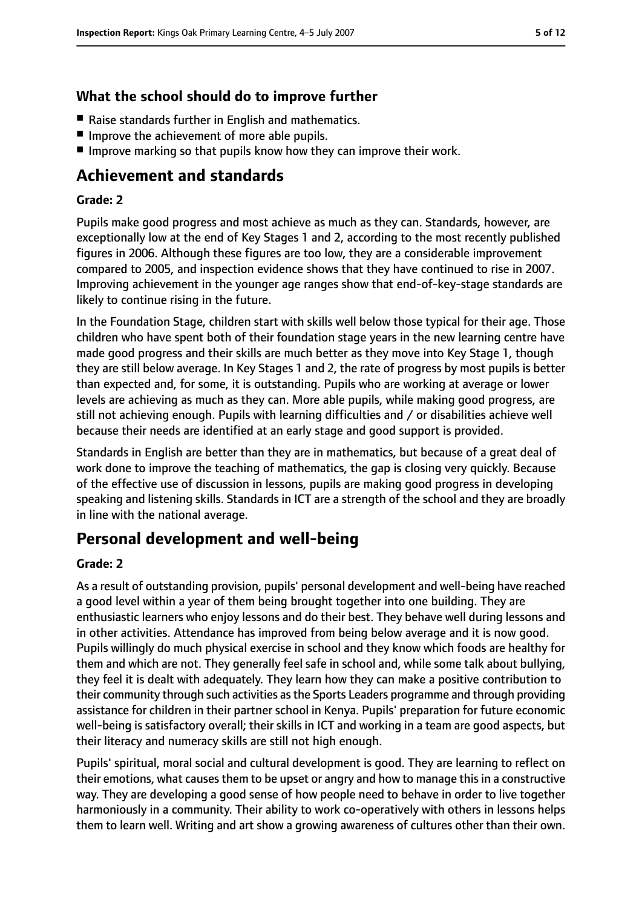# **What the school should do to improve further**

- Raise standards further in English and mathematics.
- Improve the achievement of more able pupils.
- Improve marking so that pupils know how they can improve their work.

# **Achievement and standards**

#### **Grade: 2**

Pupils make good progress and most achieve as much as they can. Standards, however, are exceptionally low at the end of Key Stages 1 and 2, according to the most recently published figures in 2006. Although these figures are too low, they are a considerable improvement compared to 2005, and inspection evidence shows that they have continued to rise in 2007. Improving achievement in the younger age ranges show that end-of-key-stage standards are likely to continue rising in the future.

In the Foundation Stage, children start with skills well below those typical for their age. Those children who have spent both of their foundation stage years in the new learning centre have made good progress and their skills are much better as they move into Key Stage 1, though they are still below average. In Key Stages 1 and 2, the rate of progress by most pupils is better than expected and, for some, it is outstanding. Pupils who are working at average or lower levels are achieving as much as they can. More able pupils, while making good progress, are still not achieving enough. Pupils with learning difficulties and / or disabilities achieve well because their needs are identified at an early stage and good support is provided.

Standards in English are better than they are in mathematics, but because of a great deal of work done to improve the teaching of mathematics, the gap is closing very quickly. Because of the effective use of discussion in lessons, pupils are making good progress in developing speaking and listening skills. Standards in ICT are a strength of the school and they are broadly in line with the national average.

# **Personal development and well-being**

#### **Grade: 2**

As a result of outstanding provision, pupils' personal development and well-being have reached a good level within a year of them being brought together into one building. They are enthusiastic learners who enjoy lessons and do their best. They behave well during lessons and in other activities. Attendance has improved from being below average and it is now good. Pupils willingly do much physical exercise in school and they know which foods are healthy for them and which are not. They generally feel safe in school and, while some talk about bullying, they feel it is dealt with adequately. They learn how they can make a positive contribution to their community through such activities as the Sports Leaders programme and through providing assistance for children in their partner school in Kenya. Pupils' preparation for future economic well-being is satisfactory overall; their skills in ICT and working in a team are good aspects, but their literacy and numeracy skills are still not high enough.

Pupils' spiritual, moral social and cultural development is good. They are learning to reflect on their emotions, what causesthem to be upset or angry and how to manage thisin a constructive way. They are developing a good sense of how people need to behave in order to live together harmoniously in a community. Their ability to work co-operatively with others in lessons helps them to learn well. Writing and art show a growing awareness of cultures other than their own.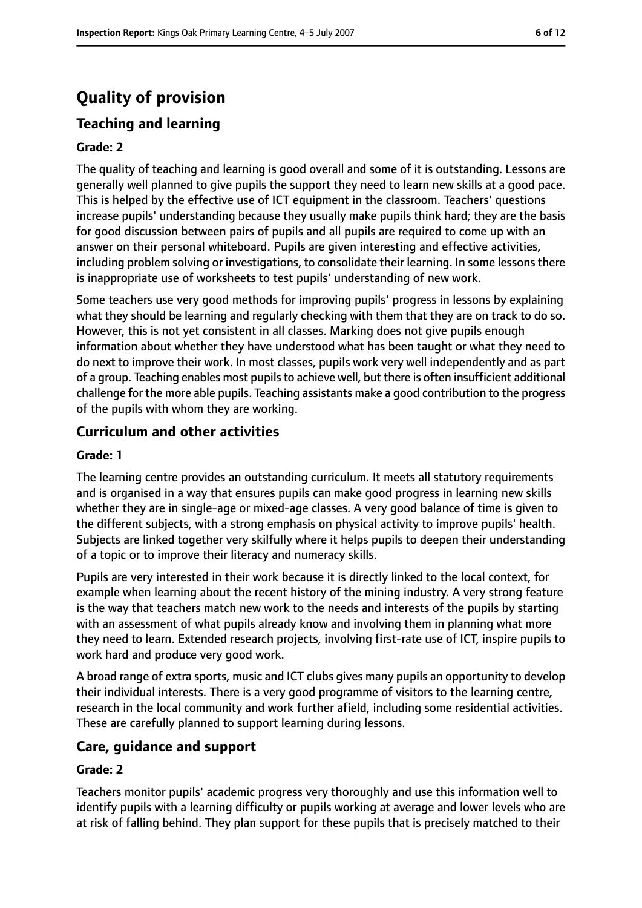# **Quality of provision**

# **Teaching and learning**

#### **Grade: 2**

The quality of teaching and learning is good overall and some of it is outstanding. Lessons are generally well planned to give pupils the support they need to learn new skills at a good pace. This is helped by the effective use of ICT equipment in the classroom. Teachers' questions increase pupils' understanding because they usually make pupils think hard; they are the basis for good discussion between pairs of pupils and all pupils are required to come up with an answer on their personal whiteboard. Pupils are given interesting and effective activities, including problem solving or investigations, to consolidate their learning. In some lessons there is inappropriate use of worksheets to test pupils' understanding of new work.

Some teachers use very good methods for improving pupils' progress in lessons by explaining what they should be learning and regularly checking with them that they are on track to do so. However, this is not yet consistent in all classes. Marking does not give pupils enough information about whether they have understood what has been taught or what they need to do next to improve their work. In most classes, pupils work very well independently and as part of a group. Teaching enables most pupils to achieve well, but there is often insufficient additional challenge for the more able pupils. Teaching assistants make a good contribution to the progress of the pupils with whom they are working.

## **Curriculum and other activities**

#### **Grade: 1**

The learning centre provides an outstanding curriculum. It meets all statutory requirements and is organised in a way that ensures pupils can make good progress in learning new skills whether they are in single-age or mixed-age classes. A very good balance of time is given to the different subjects, with a strong emphasis on physical activity to improve pupils' health. Subjects are linked together very skilfully where it helps pupils to deepen their understanding of a topic or to improve their literacy and numeracy skills.

Pupils are very interested in their work because it is directly linked to the local context, for example when learning about the recent history of the mining industry. A very strong feature is the way that teachers match new work to the needs and interests of the pupils by starting with an assessment of what pupils already know and involving them in planning what more they need to learn. Extended research projects, involving first-rate use of ICT, inspire pupils to work hard and produce very good work.

A broad range of extra sports, music and ICT clubs gives many pupils an opportunity to develop their individual interests. There is a very good programme of visitors to the learning centre, research in the local community and work further afield, including some residential activities. These are carefully planned to support learning during lessons.

## **Care, guidance and support**

#### **Grade: 2**

Teachers monitor pupils' academic progress very thoroughly and use this information well to identify pupils with a learning difficulty or pupils working at average and lower levels who are at risk of falling behind. They plan support for these pupils that is precisely matched to their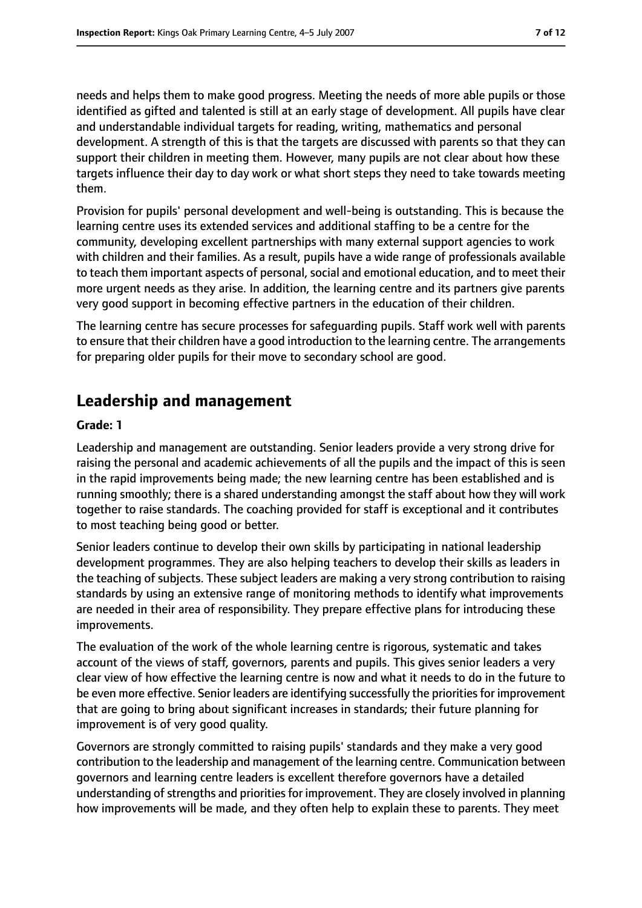needs and helps them to make good progress. Meeting the needs of more able pupils or those identified as gifted and talented is still at an early stage of development. All pupils have clear and understandable individual targets for reading, writing, mathematics and personal development. A strength of this is that the targets are discussed with parents so that they can support their children in meeting them. However, many pupils are not clear about how these targets influence their day to day work or what short steps they need to take towards meeting them.

Provision for pupils' personal development and well-being is outstanding. This is because the learning centre uses its extended services and additional staffing to be a centre for the community, developing excellent partnerships with many external support agencies to work with children and their families. As a result, pupils have a wide range of professionals available to teach them important aspects of personal, social and emotional education, and to meet their more urgent needs as they arise. In addition, the learning centre and its partners give parents very good support in becoming effective partners in the education of their children.

The learning centre has secure processes for safeguarding pupils. Staff work well with parents to ensure that their children have a good introduction to the learning centre. The arrangements for preparing older pupils for their move to secondary school are good.

# **Leadership and management**

#### **Grade: 1**

Leadership and management are outstanding. Senior leaders provide a very strong drive for raising the personal and academic achievements of all the pupils and the impact of this is seen in the rapid improvements being made; the new learning centre has been established and is running smoothly; there is a shared understanding amongst the staff about how they will work together to raise standards. The coaching provided for staff is exceptional and it contributes to most teaching being good or better.

Senior leaders continue to develop their own skills by participating in national leadership development programmes. They are also helping teachers to develop their skills as leaders in the teaching of subjects. These subject leaders are making a very strong contribution to raising standards by using an extensive range of monitoring methods to identify what improvements are needed in their area of responsibility. They prepare effective plans for introducing these improvements.

The evaluation of the work of the whole learning centre is rigorous, systematic and takes account of the views of staff, governors, parents and pupils. This gives senior leaders a very clear view of how effective the learning centre is now and what it needs to do in the future to be even more effective. Senior leaders are identifying successfully the priorities for improvement that are going to bring about significant increases in standards; their future planning for improvement is of very good quality.

Governors are strongly committed to raising pupils' standards and they make a very good contribution to the leadership and management of the learning centre. Communication between governors and learning centre leaders is excellent therefore governors have a detailed understanding of strengths and priorities for improvement. They are closely involved in planning how improvements will be made, and they often help to explain these to parents. They meet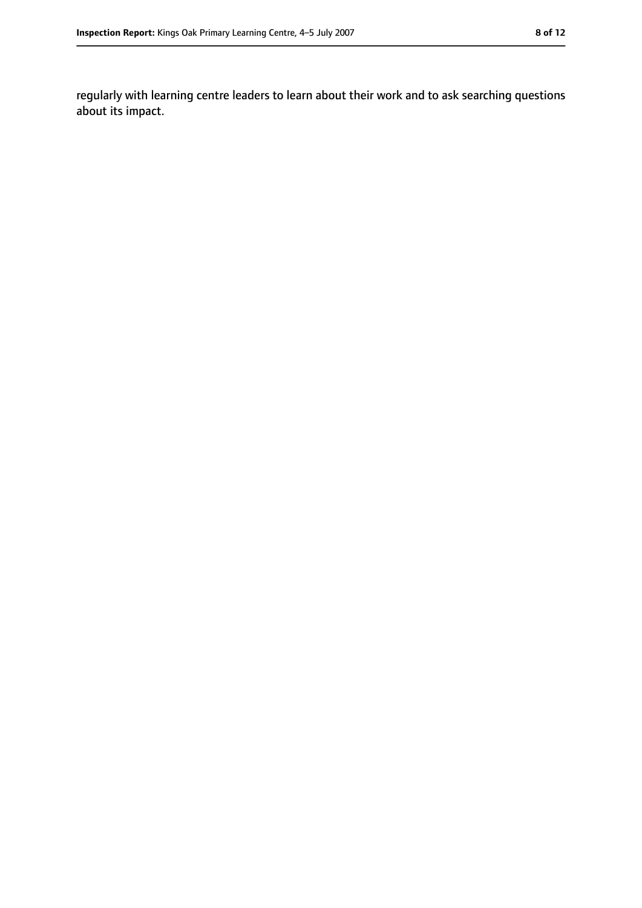regularly with learning centre leaders to learn about their work and to ask searching questions about its impact.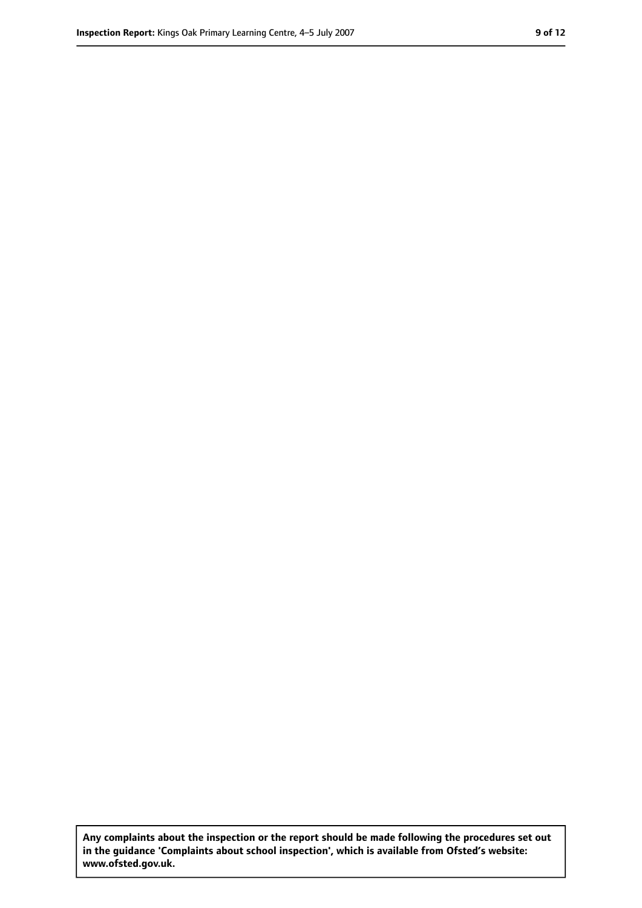**Any complaints about the inspection or the report should be made following the procedures set out in the guidance 'Complaints about school inspection', which is available from Ofsted's website: www.ofsted.gov.uk.**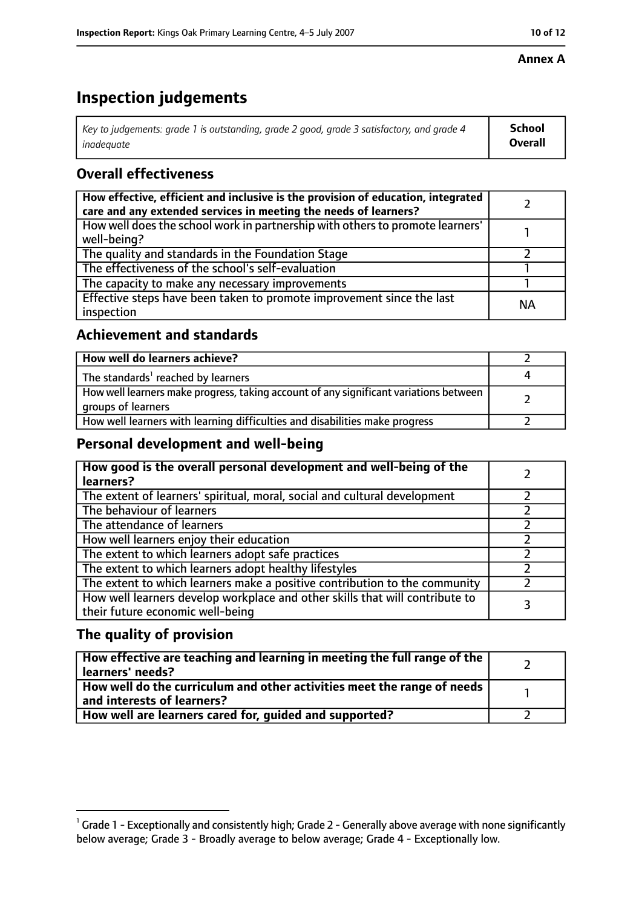#### **Annex A**

# **Inspection judgements**

| Key to judgements: grade 1 is outstanding, grade 2 good, grade 3 satisfactory, and grade 4 | School         |
|--------------------------------------------------------------------------------------------|----------------|
| inadeguate                                                                                 | <b>Overall</b> |

# **Overall effectiveness**

| How effective, efficient and inclusive is the provision of education, integrated<br>care and any extended services in meeting the needs of learners? |           |
|------------------------------------------------------------------------------------------------------------------------------------------------------|-----------|
| How well does the school work in partnership with others to promote learners'<br>well-being?                                                         |           |
| The quality and standards in the Foundation Stage                                                                                                    |           |
| The effectiveness of the school's self-evaluation                                                                                                    |           |
| The capacity to make any necessary improvements                                                                                                      |           |
| Effective steps have been taken to promote improvement since the last<br>inspection                                                                  | <b>NA</b> |

## **Achievement and standards**

| How well do learners achieve?                                                                               |  |
|-------------------------------------------------------------------------------------------------------------|--|
| The standards <sup>1</sup> reached by learners                                                              |  |
| How well learners make progress, taking account of any significant variations between<br>groups of learners |  |
| How well learners with learning difficulties and disabilities make progress                                 |  |

## **Personal development and well-being**

| How good is the overall personal development and well-being of the<br>learners?                                  |  |
|------------------------------------------------------------------------------------------------------------------|--|
| The extent of learners' spiritual, moral, social and cultural development                                        |  |
| The behaviour of learners                                                                                        |  |
| The attendance of learners                                                                                       |  |
| How well learners enjoy their education                                                                          |  |
| The extent to which learners adopt safe practices                                                                |  |
| The extent to which learners adopt healthy lifestyles                                                            |  |
| The extent to which learners make a positive contribution to the community                                       |  |
| How well learners develop workplace and other skills that will contribute to<br>their future economic well-being |  |

# **The quality of provision**

| How effective are teaching and learning in meeting the full range of the<br>learners' needs?          |  |
|-------------------------------------------------------------------------------------------------------|--|
| How well do the curriculum and other activities meet the range of needs<br>and interests of learners? |  |
| How well are learners cared for, quided and supported?                                                |  |

 $^1$  Grade 1 - Exceptionally and consistently high; Grade 2 - Generally above average with none significantly below average; Grade 3 - Broadly average to below average; Grade 4 - Exceptionally low.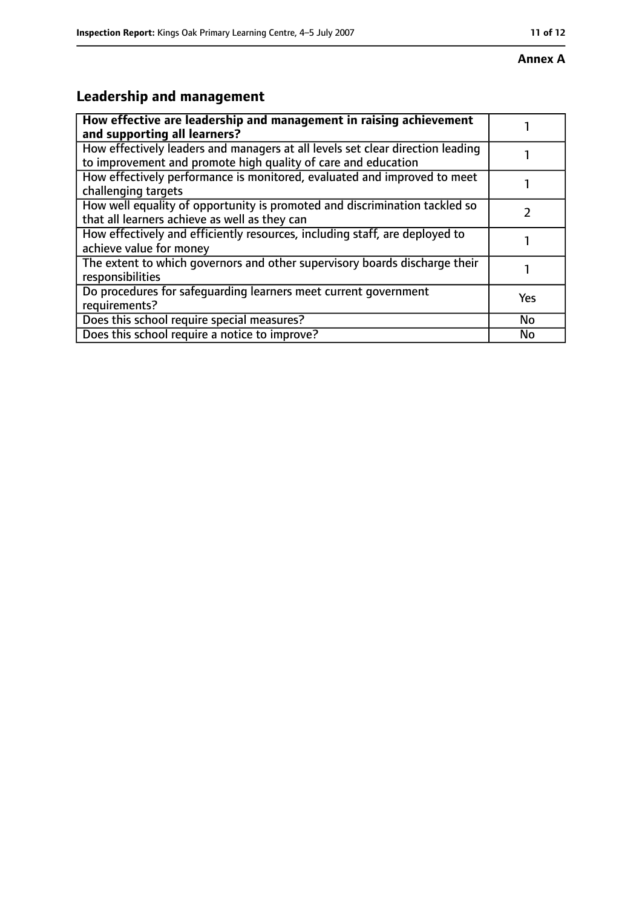# **Leadership and management**

| How effective are leadership and management in raising achievement<br>and supporting all learners?                                              |           |
|-------------------------------------------------------------------------------------------------------------------------------------------------|-----------|
| How effectively leaders and managers at all levels set clear direction leading<br>to improvement and promote high quality of care and education |           |
| How effectively performance is monitored, evaluated and improved to meet<br>challenging targets                                                 |           |
| How well equality of opportunity is promoted and discrimination tackled so<br>that all learners achieve as well as they can                     |           |
| How effectively and efficiently resources, including staff, are deployed to<br>achieve value for money                                          |           |
| The extent to which governors and other supervisory boards discharge their<br>responsibilities                                                  |           |
| Do procedures for safeguarding learners meet current government<br>requirements?                                                                | Yes       |
| Does this school require special measures?                                                                                                      | <b>No</b> |
| Does this school require a notice to improve?                                                                                                   | No        |